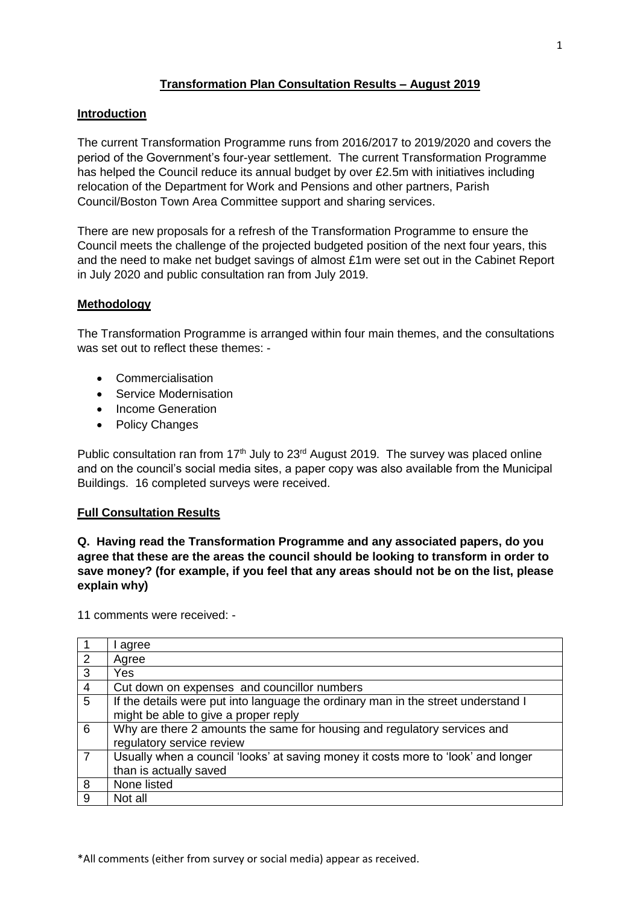## **Transformation Plan Consultation Results – August 2019**

### **Introduction**

The current Transformation Programme runs from 2016/2017 to 2019/2020 and covers the period of the Government's four-year settlement. The current Transformation Programme has helped the Council reduce its annual budget by over £2.5m with initiatives including relocation of the Department for Work and Pensions and other partners, Parish Council/Boston Town Area Committee support and sharing services.

There are new proposals for a refresh of the Transformation Programme to ensure the Council meets the challenge of the projected budgeted position of the next four years, this and the need to make net budget savings of almost £1m were set out in the Cabinet Report in July 2020 and public consultation ran from July 2019.

### **Methodology**

The Transformation Programme is arranged within four main themes, and the consultations was set out to reflect these themes: -

- Commercialisation
- Service Modernisation
- Income Generation
- Policy Changes

Public consultation ran from  $17<sup>th</sup>$  July to  $23<sup>rd</sup>$  August 2019. The survey was placed online and on the council's social media sites, a paper copy was also available from the Municipal Buildings. 16 completed surveys were received.

### **Full Consultation Results**

**Q. Having read the Transformation Programme and any associated papers, do you agree that these are the areas the council should be looking to transform in order to save money? (for example, if you feel that any areas should not be on the list, please explain why)**

11 comments were received: -

|                | agree                                                                                                                     |
|----------------|---------------------------------------------------------------------------------------------------------------------------|
| 2              | Agree                                                                                                                     |
| 3              | Yes                                                                                                                       |
| $\overline{4}$ | Cut down on expenses and councillor numbers                                                                               |
| 5              | If the details were put into language the ordinary man in the street understand I<br>might be able to give a proper reply |
| 6              | Why are there 2 amounts the same for housing and regulatory services and<br>regulatory service review                     |
| $\overline{7}$ | Usually when a council 'looks' at saving money it costs more to 'look' and longer<br>than is actually saved               |
| 8              | None listed                                                                                                               |
| 9              | Not all                                                                                                                   |

\*All comments (either from survey or social media) appear as received.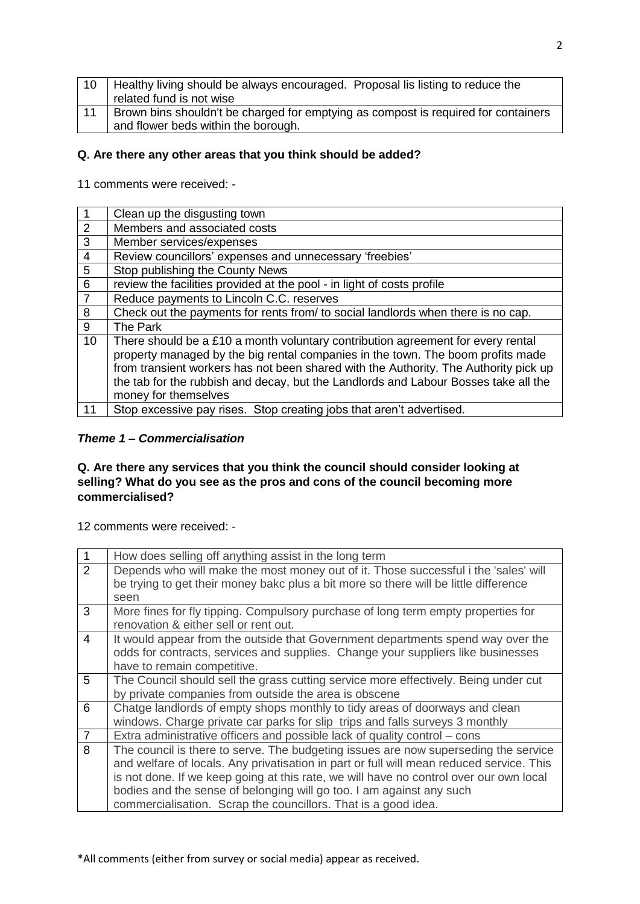| 10 | Healthy living should be always encouraged. Proposal lis listing to reduce the     |
|----|------------------------------------------------------------------------------------|
|    | related fund is not wise                                                           |
| 11 | Brown bins shouldn't be charged for emptying as compost is required for containers |
|    | and flower beds within the borough.                                                |

## **Q. Are there any other areas that you think should be added?**

11 comments were received: -

| $\vert$ 1      | Clean up the disgusting town                                                         |
|----------------|--------------------------------------------------------------------------------------|
| $\overline{2}$ | Members and associated costs                                                         |
| $\overline{3}$ | Member services/expenses                                                             |
| $\overline{4}$ | Review councillors' expenses and unnecessary 'freebies'                              |
| $\overline{5}$ | Stop publishing the County News                                                      |
| $\overline{6}$ | review the facilities provided at the pool - in light of costs profile               |
| $\overline{7}$ | Reduce payments to Lincoln C.C. reserves                                             |
| 8              | Check out the payments for rents from/ to social landlords when there is no cap.     |
| 9              | The Park                                                                             |
| 10             | There should be a £10 a month voluntary contribution agreement for every rental      |
|                | property managed by the big rental companies in the town. The boom profits made      |
|                | from transient workers has not been shared with the Authority. The Authority pick up |
|                | the tab for the rubbish and decay, but the Landlords and Labour Bosses take all the  |
|                | money for themselves                                                                 |
| 11             | Stop excessive pay rises. Stop creating jobs that aren't advertised.                 |

### *Theme 1 – Commercialisation*

### **Q. Are there any services that you think the council should consider looking at selling? What do you see as the pros and cons of the council becoming more commercialised?**

| $\overline{1}$ | How does selling off anything assist in the long term                                    |
|----------------|------------------------------------------------------------------------------------------|
| $\overline{2}$ | Depends who will make the most money out of it. Those successful i the 'sales' will      |
|                | be trying to get their money bakc plus a bit more so there will be little difference     |
|                | seen                                                                                     |
| 3              | More fines for fly tipping. Compulsory purchase of long term empty properties for        |
|                | renovation & either sell or rent out.                                                    |
| 4              | It would appear from the outside that Government departments spend way over the          |
|                | odds for contracts, services and supplies. Change your suppliers like businesses         |
|                | have to remain competitive.                                                              |
| 5              | The Council should sell the grass cutting service more effectively. Being under cut      |
|                | by private companies from outside the area is obscene                                    |
| 6              | Chatge landlords of empty shops monthly to tidy areas of doorways and clean              |
|                | windows. Charge private car parks for slip trips and falls surveys 3 monthly             |
| $\overline{7}$ | Extra administrative officers and possible lack of quality control – cons                |
| 8              | The council is there to serve. The budgeting issues are now superseding the service      |
|                | and welfare of locals. Any privatisation in part or full will mean reduced service. This |
|                | is not done. If we keep going at this rate, we will have no control over our own local   |
|                | bodies and the sense of belonging will go too. I am against any such                     |
|                | commercialisation. Scrap the councillors. That is a good idea.                           |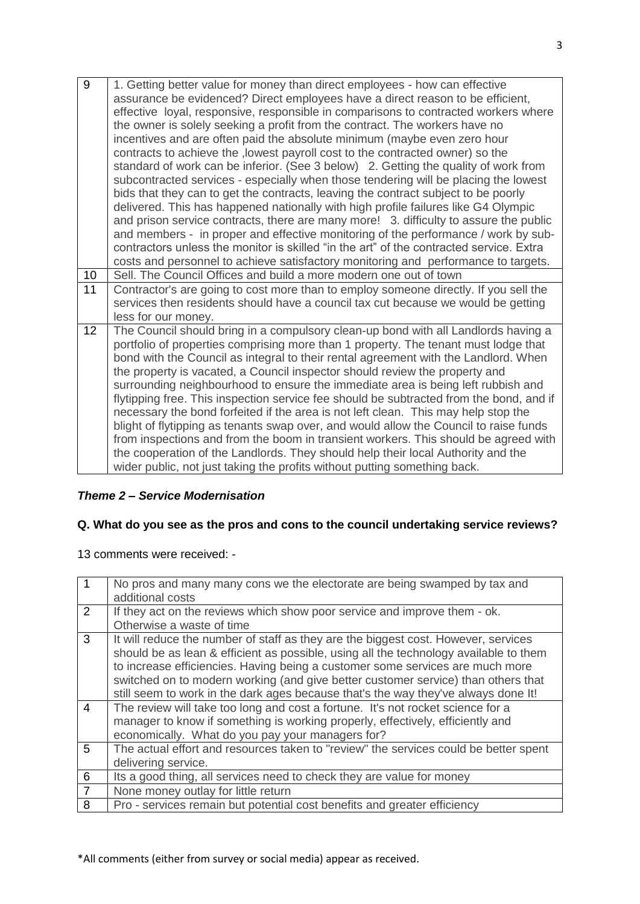| 9               | 1. Getting better value for money than direct employees - how can effective<br>assurance be evidenced? Direct employees have a direct reason to be efficient,<br>effective loyal, responsive, responsible in comparisons to contracted workers where<br>the owner is solely seeking a profit from the contract. The workers have no<br>incentives and are often paid the absolute minimum (maybe even zero hour<br>contracts to achieve the , lowest payroll cost to the contracted owner) so the<br>standard of work can be inferior. (See 3 below) 2. Getting the quality of work from<br>subcontracted services - especially when those tendering will be placing the lowest<br>bids that they can to get the contracts, leaving the contract subject to be poorly<br>delivered. This has happened nationally with high profile failures like G4 Olympic<br>and prison service contracts, there are many more! 3. difficulty to assure the public<br>and members - in proper and effective monitoring of the performance / work by sub-<br>contractors unless the monitor is skilled "in the art" of the contracted service. Extra<br>costs and personnel to achieve satisfactory monitoring and performance to targets. |
|-----------------|-----------------------------------------------------------------------------------------------------------------------------------------------------------------------------------------------------------------------------------------------------------------------------------------------------------------------------------------------------------------------------------------------------------------------------------------------------------------------------------------------------------------------------------------------------------------------------------------------------------------------------------------------------------------------------------------------------------------------------------------------------------------------------------------------------------------------------------------------------------------------------------------------------------------------------------------------------------------------------------------------------------------------------------------------------------------------------------------------------------------------------------------------------------------------------------------------------------------------------|
| 10 <sub>1</sub> | Sell. The Council Offices and build a more modern one out of town                                                                                                                                                                                                                                                                                                                                                                                                                                                                                                                                                                                                                                                                                                                                                                                                                                                                                                                                                                                                                                                                                                                                                           |
| 11              | Contractor's are going to cost more than to employ someone directly. If you sell the<br>services then residents should have a council tax cut because we would be getting<br>less for our money.                                                                                                                                                                                                                                                                                                                                                                                                                                                                                                                                                                                                                                                                                                                                                                                                                                                                                                                                                                                                                            |
| 12 <sup>2</sup> | The Council should bring in a compulsory clean-up bond with all Landlords having a<br>portfolio of properties comprising more than 1 property. The tenant must lodge that<br>bond with the Council as integral to their rental agreement with the Landlord. When<br>the property is vacated, a Council inspector should review the property and<br>surrounding neighbourhood to ensure the immediate area is being left rubbish and<br>flytipping free. This inspection service fee should be subtracted from the bond, and if<br>necessary the bond forfeited if the area is not left clean. This may help stop the<br>blight of flytipping as tenants swap over, and would allow the Council to raise funds<br>from inspections and from the boom in transient workers. This should be agreed with<br>the cooperation of the Landlords. They should help their local Authority and the<br>wider public, not just taking the profits without putting something back.                                                                                                                                                                                                                                                       |

## *Theme 2 – Service Modernisation*

# **Q. What do you see as the pros and cons to the council undertaking service reviews?**

| 1              | No pros and many many cons we the electorate are being swamped by tax and<br>additional costs                                                                                                                                                                                                                                                                                                                                           |
|----------------|-----------------------------------------------------------------------------------------------------------------------------------------------------------------------------------------------------------------------------------------------------------------------------------------------------------------------------------------------------------------------------------------------------------------------------------------|
| 2              | If they act on the reviews which show poor service and improve them - ok.<br>Otherwise a waste of time                                                                                                                                                                                                                                                                                                                                  |
| 3              | It will reduce the number of staff as they are the biggest cost. However, services<br>should be as lean & efficient as possible, using all the technology available to them<br>to increase efficiencies. Having being a customer some services are much more<br>switched on to modern working (and give better customer service) than others that<br>still seem to work in the dark ages because that's the way they've always done It! |
| 4              | The review will take too long and cost a fortune. It's not rocket science for a<br>manager to know if something is working properly, effectively, efficiently and<br>economically. What do you pay your managers for?                                                                                                                                                                                                                   |
| 5              | The actual effort and resources taken to "review" the services could be better spent<br>delivering service.                                                                                                                                                                                                                                                                                                                             |
| 6              | Its a good thing, all services need to check they are value for money                                                                                                                                                                                                                                                                                                                                                                   |
| $\overline{7}$ | None money outlay for little return                                                                                                                                                                                                                                                                                                                                                                                                     |
| 8              | Pro - services remain but potential cost benefits and greater efficiency                                                                                                                                                                                                                                                                                                                                                                |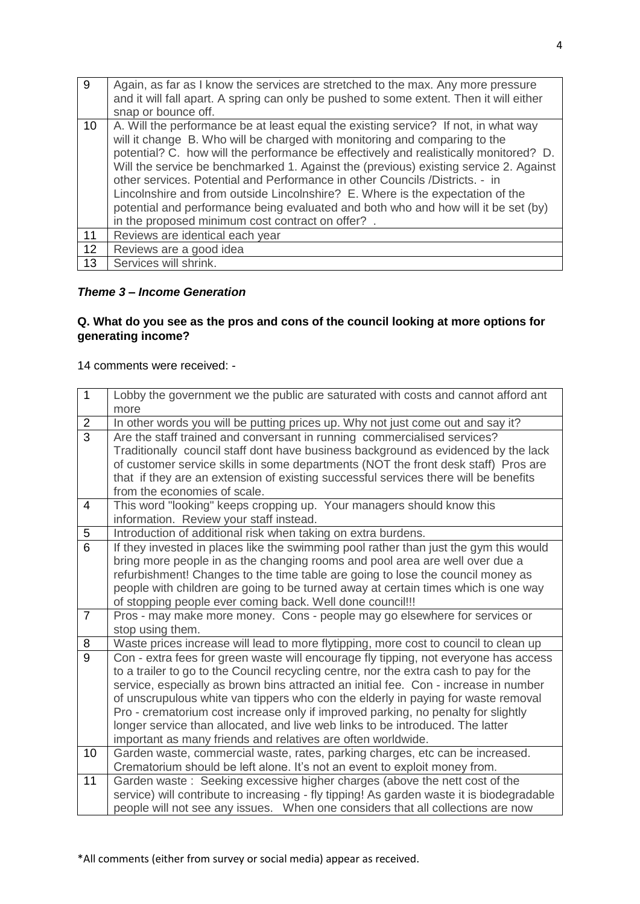| $\overline{9}$ | Again, as far as I know the services are stretched to the max. Any more pressure<br>and it will fall apart. A spring can only be pushed to some extent. Then it will either<br>snap or bounce off.                                                                                                                                                                                                                                                                                                                                                                                                                                                               |
|----------------|------------------------------------------------------------------------------------------------------------------------------------------------------------------------------------------------------------------------------------------------------------------------------------------------------------------------------------------------------------------------------------------------------------------------------------------------------------------------------------------------------------------------------------------------------------------------------------------------------------------------------------------------------------------|
| 10             | A. Will the performance be at least equal the existing service? If not, in what way<br>will it change B. Who will be charged with monitoring and comparing to the<br>potential? C. how will the performance be effectively and realistically monitored? D.<br>Will the service be benchmarked 1. Against the (previous) existing service 2. Against<br>other services. Potential and Performance in other Councils / Districts. - in<br>Lincolnshire and from outside Lincolnshire? E. Where is the expectation of the<br>potential and performance being evaluated and both who and how will it be set (by)<br>in the proposed minimum cost contract on offer?. |
| 11             | Reviews are identical each year                                                                                                                                                                                                                                                                                                                                                                                                                                                                                                                                                                                                                                  |
| 12             | Reviews are a good idea                                                                                                                                                                                                                                                                                                                                                                                                                                                                                                                                                                                                                                          |
| 13             | Services will shrink.                                                                                                                                                                                                                                                                                                                                                                                                                                                                                                                                                                                                                                            |

## *Theme 3 – Income Generation*

# **Q. What do you see as the pros and cons of the council looking at more options for generating income?**

| $\mathbf{1}$    | Lobby the government we the public are saturated with costs and cannot afford ant<br>more                                                                                                                                                                                                                                                                                                                                                                                                                                                                                                         |
|-----------------|---------------------------------------------------------------------------------------------------------------------------------------------------------------------------------------------------------------------------------------------------------------------------------------------------------------------------------------------------------------------------------------------------------------------------------------------------------------------------------------------------------------------------------------------------------------------------------------------------|
| $\overline{2}$  | In other words you will be putting prices up. Why not just come out and say it?                                                                                                                                                                                                                                                                                                                                                                                                                                                                                                                   |
| $\overline{3}$  | Are the staff trained and conversant in running commercialised services?<br>Traditionally council staff dont have business background as evidenced by the lack<br>of customer service skills in some departments (NOT the front desk staff) Pros are<br>that if they are an extension of existing successful services there will be benefits<br>from the economies of scale.                                                                                                                                                                                                                      |
| $\overline{4}$  | This word "looking" keeps cropping up. Your managers should know this<br>information. Review your staff instead.                                                                                                                                                                                                                                                                                                                                                                                                                                                                                  |
| $\overline{5}$  | Introduction of additional risk when taking on extra burdens.                                                                                                                                                                                                                                                                                                                                                                                                                                                                                                                                     |
| $\overline{6}$  | If they invested in places like the swimming pool rather than just the gym this would<br>bring more people in as the changing rooms and pool area are well over due a<br>refurbishment! Changes to the time table are going to lose the council money as<br>people with children are going to be turned away at certain times which is one way<br>of stopping people ever coming back. Well done council!!!                                                                                                                                                                                       |
| $\overline{7}$  | Pros - may make more money. Cons - people may go elsewhere for services or<br>stop using them.                                                                                                                                                                                                                                                                                                                                                                                                                                                                                                    |
| 8               | Waste prices increase will lead to more flytipping, more cost to council to clean up                                                                                                                                                                                                                                                                                                                                                                                                                                                                                                              |
| $\overline{9}$  | Con - extra fees for green waste will encourage fly tipping, not everyone has access<br>to a trailer to go to the Council recycling centre, nor the extra cash to pay for the<br>service, especially as brown bins attracted an initial fee. Con - increase in number<br>of unscrupulous white van tippers who con the elderly in paying for waste removal<br>Pro - crematorium cost increase only if improved parking, no penalty for slightly<br>longer service than allocated, and live web links to be introduced. The latter<br>important as many friends and relatives are often worldwide. |
| 10 <sup>1</sup> | Garden waste, commercial waste, rates, parking charges, etc can be increased.<br>Crematorium should be left alone. It's not an event to exploit money from.                                                                                                                                                                                                                                                                                                                                                                                                                                       |
| 11              | Garden waste: Seeking excessive higher charges (above the nett cost of the<br>service) will contribute to increasing - fly tipping! As garden waste it is biodegradable<br>people will not see any issues.  When one considers that all collections are now                                                                                                                                                                                                                                                                                                                                       |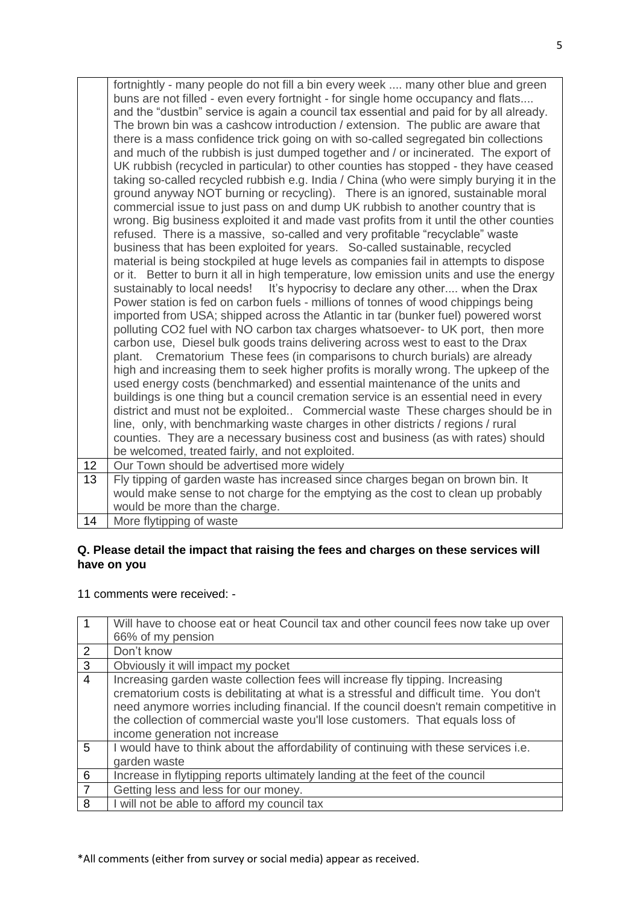|    | fortnightly - many people do not fill a bin every week  many other blue and green<br>buns are not filled - even every fortnight - for single home occupancy and flats<br>and the "dustbin" service is again a council tax essential and paid for by all already.<br>The brown bin was a cashcow introduction / extension. The public are aware that<br>there is a mass confidence trick going on with so-called segregated bin collections<br>and much of the rubbish is just dumped together and / or incinerated. The export of<br>UK rubbish (recycled in particular) to other counties has stopped - they have ceased<br>taking so-called recycled rubbish e.g. India / China (who were simply burying it in the<br>ground anyway NOT burning or recycling). There is an ignored, sustainable moral<br>commercial issue to just pass on and dump UK rubbish to another country that is<br>wrong. Big business exploited it and made vast profits from it until the other counties<br>refused. There is a massive, so-called and very profitable "recyclable" waste<br>business that has been exploited for years. So-called sustainable, recycled<br>material is being stockpiled at huge levels as companies fail in attempts to dispose<br>or it. Better to burn it all in high temperature, low emission units and use the energy<br>sustainably to local needs! It's hypocrisy to declare any other when the Drax<br>Power station is fed on carbon fuels - millions of tonnes of wood chippings being<br>imported from USA; shipped across the Atlantic in tar (bunker fuel) powered worst<br>polluting CO2 fuel with NO carbon tax charges whatsoever- to UK port, then more<br>carbon use, Diesel bulk goods trains delivering across west to east to the Drax<br>Crematorium These fees (in comparisons to church burials) are already<br>plant.<br>high and increasing them to seek higher profits is morally wrong. The upkeep of the<br>used energy costs (benchmarked) and essential maintenance of the units and<br>buildings is one thing but a council cremation service is an essential need in every<br>district and must not be exploited Commercial waste These charges should be in<br>line, only, with benchmarking waste charges in other districts / regions / rural<br>counties. They are a necessary business cost and business (as with rates) should<br>be welcomed, treated fairly, and not exploited. |
|----|----------------------------------------------------------------------------------------------------------------------------------------------------------------------------------------------------------------------------------------------------------------------------------------------------------------------------------------------------------------------------------------------------------------------------------------------------------------------------------------------------------------------------------------------------------------------------------------------------------------------------------------------------------------------------------------------------------------------------------------------------------------------------------------------------------------------------------------------------------------------------------------------------------------------------------------------------------------------------------------------------------------------------------------------------------------------------------------------------------------------------------------------------------------------------------------------------------------------------------------------------------------------------------------------------------------------------------------------------------------------------------------------------------------------------------------------------------------------------------------------------------------------------------------------------------------------------------------------------------------------------------------------------------------------------------------------------------------------------------------------------------------------------------------------------------------------------------------------------------------------------------------------------------------------------------------------------------------------------------------------------------------------------------------------------------------------------------------------------------------------------------------------------------------------------------------------------------------------------------------------------------------------------------------------------------------------------------------------------------------------------------------------------------------------------------------|
| 12 | Our Town should be advertised more widely                                                                                                                                                                                                                                                                                                                                                                                                                                                                                                                                                                                                                                                                                                                                                                                                                                                                                                                                                                                                                                                                                                                                                                                                                                                                                                                                                                                                                                                                                                                                                                                                                                                                                                                                                                                                                                                                                                                                                                                                                                                                                                                                                                                                                                                                                                                                                                                              |
| 13 | Fly tipping of garden waste has increased since charges began on brown bin. It                                                                                                                                                                                                                                                                                                                                                                                                                                                                                                                                                                                                                                                                                                                                                                                                                                                                                                                                                                                                                                                                                                                                                                                                                                                                                                                                                                                                                                                                                                                                                                                                                                                                                                                                                                                                                                                                                                                                                                                                                                                                                                                                                                                                                                                                                                                                                         |
|    | would make sense to not charge for the emptying as the cost to clean up probably                                                                                                                                                                                                                                                                                                                                                                                                                                                                                                                                                                                                                                                                                                                                                                                                                                                                                                                                                                                                                                                                                                                                                                                                                                                                                                                                                                                                                                                                                                                                                                                                                                                                                                                                                                                                                                                                                                                                                                                                                                                                                                                                                                                                                                                                                                                                                       |
|    | would be more than the charge.                                                                                                                                                                                                                                                                                                                                                                                                                                                                                                                                                                                                                                                                                                                                                                                                                                                                                                                                                                                                                                                                                                                                                                                                                                                                                                                                                                                                                                                                                                                                                                                                                                                                                                                                                                                                                                                                                                                                                                                                                                                                                                                                                                                                                                                                                                                                                                                                         |
| 14 | More flytipping of waste                                                                                                                                                                                                                                                                                                                                                                                                                                                                                                                                                                                                                                                                                                                                                                                                                                                                                                                                                                                                                                                                                                                                                                                                                                                                                                                                                                                                                                                                                                                                                                                                                                                                                                                                                                                                                                                                                                                                                                                                                                                                                                                                                                                                                                                                                                                                                                                                               |

## **Q. Please detail the impact that raising the fees and charges on these services will have on you**

|                | Will have to choose eat or heat Council tax and other council fees now take up over<br>66% of my pension                                                                                                                                                                                                                                                                             |
|----------------|--------------------------------------------------------------------------------------------------------------------------------------------------------------------------------------------------------------------------------------------------------------------------------------------------------------------------------------------------------------------------------------|
| 2              | Don't know                                                                                                                                                                                                                                                                                                                                                                           |
| 3              | Obviously it will impact my pocket                                                                                                                                                                                                                                                                                                                                                   |
| $\overline{4}$ | Increasing garden waste collection fees will increase fly tipping. Increasing<br>crematorium costs is debilitating at what is a stressful and difficult time. You don't<br>need anymore worries including financial. If the council doesn't remain competitive in<br>the collection of commercial waste you'll lose customers. That equals loss of<br>income generation not increase |
| 5              | I would have to think about the affordability of continuing with these services i.e.<br>garden waste                                                                                                                                                                                                                                                                                 |
| 6              | Increase in flytipping reports ultimately landing at the feet of the council                                                                                                                                                                                                                                                                                                         |
| $\overline{7}$ | Getting less and less for our money.                                                                                                                                                                                                                                                                                                                                                 |
| 8              | I will not be able to afford my council tax                                                                                                                                                                                                                                                                                                                                          |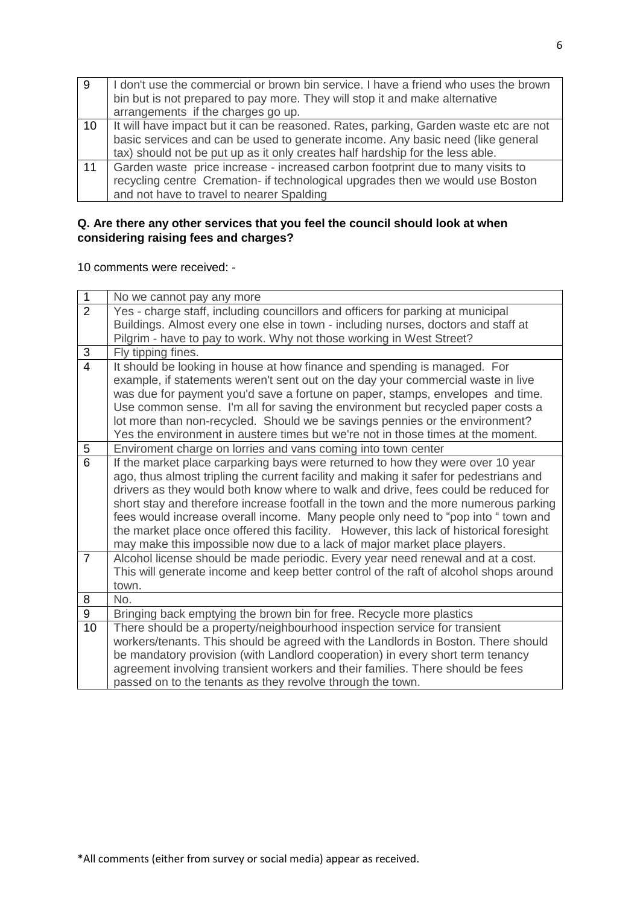| 9  | I don't use the commercial or brown bin service. I have a friend who uses the brown<br>bin but is not prepared to pay more. They will stop it and make alternative<br>arrangements if the charges go up.                                                 |
|----|----------------------------------------------------------------------------------------------------------------------------------------------------------------------------------------------------------------------------------------------------------|
| 10 | It will have impact but it can be reasoned. Rates, parking, Garden waste etc are not<br>basic services and can be used to generate income. Any basic need (like general<br>tax) should not be put up as it only creates half hardship for the less able. |
| 11 | Garden waste price increase - increased carbon footprint due to many visits to<br>recycling centre Cremation- if technological upgrades then we would use Boston<br>and not have to travel to nearer Spalding                                            |

# **Q. Are there any other services that you feel the council should look at when considering raising fees and charges?**

| $\mathbf 1$    | No we cannot pay any more                                                               |
|----------------|-----------------------------------------------------------------------------------------|
| $\overline{2}$ | Yes - charge staff, including councillors and officers for parking at municipal         |
|                | Buildings. Almost every one else in town - including nurses, doctors and staff at       |
|                | Pilgrim - have to pay to work. Why not those working in West Street?                    |
| 3              | Fly tipping fines.                                                                      |
| $\overline{4}$ | It should be looking in house at how finance and spending is managed. For               |
|                | example, if statements weren't sent out on the day your commercial waste in live        |
|                | was due for payment you'd save a fortune on paper, stamps, envelopes and time.          |
|                | Use common sense. I'm all for saving the environment but recycled paper costs a         |
|                | lot more than non-recycled. Should we be savings pennies or the environment?            |
|                | Yes the environment in austere times but we're not in those times at the moment.        |
| 5              | Enviroment charge on lorries and vans coming into town center                           |
| $\overline{6}$ | If the market place carparking bays were returned to how they were over 10 year         |
|                | ago, thus almost tripling the current facility and making it safer for pedestrians and  |
|                | drivers as they would both know where to walk and drive, fees could be reduced for      |
|                | short stay and therefore increase footfall in the town and the more numerous parking    |
|                | fees would increase overall income. Many people only need to "pop into " town and       |
|                | the market place once offered this facility. However, this lack of historical foresight |
|                | may make this impossible now due to a lack of major market place players.               |
| $\overline{7}$ | Alcohol license should be made periodic. Every year need renewal and at a cost.         |
|                | This will generate income and keep better control of the raft of alcohol shops around   |
|                | town.                                                                                   |
| 8              | No.                                                                                     |
| 9              | Bringing back emptying the brown bin for free. Recycle more plastics                    |
| 10             | There should be a property/neighbourhood inspection service for transient               |
|                | workers/tenants. This should be agreed with the Landlords in Boston. There should       |
|                | be mandatory provision (with Landlord cooperation) in every short term tenancy          |
|                | agreement involving transient workers and their families. There should be fees          |
|                | passed on to the tenants as they revolve through the town.                              |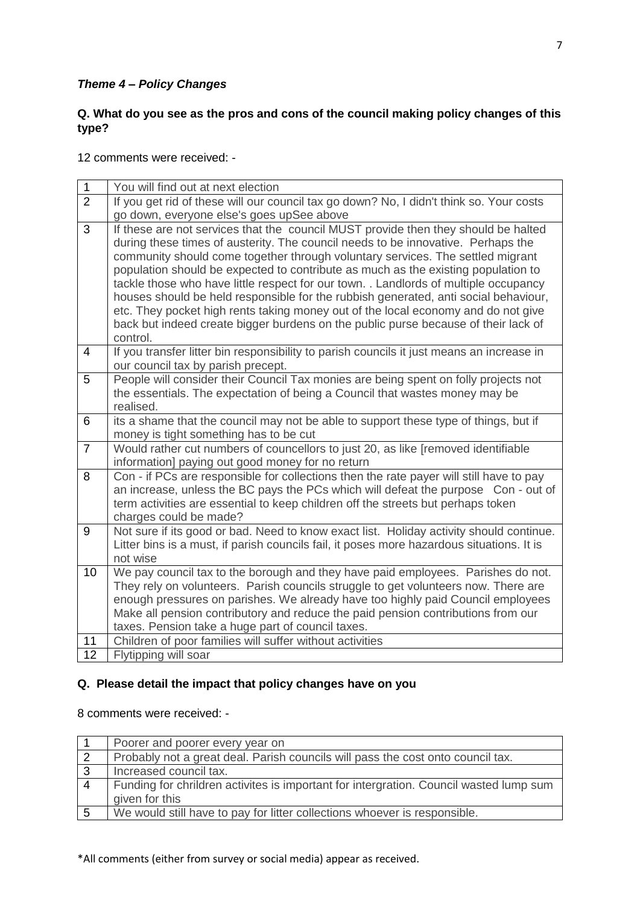## *Theme 4 – Policy Changes*

## **Q. What do you see as the pros and cons of the council making policy changes of this type?**

12 comments were received: -

| $\mathbf 1$    | You will find out at next election                                                                                                                                                                                                                                                                                                                                                                                                                                                                                                                                                                                                                                                                                  |
|----------------|---------------------------------------------------------------------------------------------------------------------------------------------------------------------------------------------------------------------------------------------------------------------------------------------------------------------------------------------------------------------------------------------------------------------------------------------------------------------------------------------------------------------------------------------------------------------------------------------------------------------------------------------------------------------------------------------------------------------|
| $\overline{2}$ | If you get rid of these will our council tax go down? No, I didn't think so. Your costs                                                                                                                                                                                                                                                                                                                                                                                                                                                                                                                                                                                                                             |
|                | go down, everyone else's goes upSee above                                                                                                                                                                                                                                                                                                                                                                                                                                                                                                                                                                                                                                                                           |
| $\overline{3}$ | If these are not services that the council MUST provide then they should be halted<br>during these times of austerity. The council needs to be innovative. Perhaps the<br>community should come together through voluntary services. The settled migrant<br>population should be expected to contribute as much as the existing population to<br>tackle those who have little respect for our town. . Landlords of multiple occupancy<br>houses should be held responsible for the rubbish generated, anti social behaviour,<br>etc. They pocket high rents taking money out of the local economy and do not give<br>back but indeed create bigger burdens on the public purse because of their lack of<br>control. |
| 4              | If you transfer litter bin responsibility to parish councils it just means an increase in<br>our council tax by parish precept.                                                                                                                                                                                                                                                                                                                                                                                                                                                                                                                                                                                     |
| $\overline{5}$ | People will consider their Council Tax monies are being spent on folly projects not<br>the essentials. The expectation of being a Council that wastes money may be<br>realised.                                                                                                                                                                                                                                                                                                                                                                                                                                                                                                                                     |
| 6              | its a shame that the council may not be able to support these type of things, but if<br>money is tight something has to be cut                                                                                                                                                                                                                                                                                                                                                                                                                                                                                                                                                                                      |
| $\overline{7}$ | Would rather cut numbers of councellors to just 20, as like [removed identifiable<br>information] paying out good money for no return                                                                                                                                                                                                                                                                                                                                                                                                                                                                                                                                                                               |
| 8              | Con - if PCs are responsible for collections then the rate payer will still have to pay<br>an increase, unless the BC pays the PCs which will defeat the purpose Con - out of<br>term activities are essential to keep children off the streets but perhaps token<br>charges could be made?                                                                                                                                                                                                                                                                                                                                                                                                                         |
| 9              | Not sure if its good or bad. Need to know exact list. Holiday activity should continue.<br>Litter bins is a must, if parish councils fail, it poses more hazardous situations. It is<br>not wise                                                                                                                                                                                                                                                                                                                                                                                                                                                                                                                    |
| 10             | We pay council tax to the borough and they have paid employees. Parishes do not.<br>They rely on volunteers. Parish councils struggle to get volunteers now. There are<br>enough pressures on parishes. We already have too highly paid Council employees<br>Make all pension contributory and reduce the paid pension contributions from our<br>taxes. Pension take a huge part of council taxes.                                                                                                                                                                                                                                                                                                                  |
| 11             | Children of poor families will suffer without activities                                                                                                                                                                                                                                                                                                                                                                                                                                                                                                                                                                                                                                                            |
| 12             | Flytipping will soar                                                                                                                                                                                                                                                                                                                                                                                                                                                                                                                                                                                                                                                                                                |

### **Q. Please detail the impact that policy changes have on you**

8 comments were received: -

| Poorer and poorer every year on                                                        |
|----------------------------------------------------------------------------------------|
| Probably not a great deal. Parish councils will pass the cost onto council tax.        |
| Increased council tax.                                                                 |
| Funding for chrildren activites is important for intergration. Council wasted lump sum |
| given for this                                                                         |
| We would still have to pay for litter collections whoever is responsible.              |
|                                                                                        |

\*All comments (either from survey or social media) appear as received.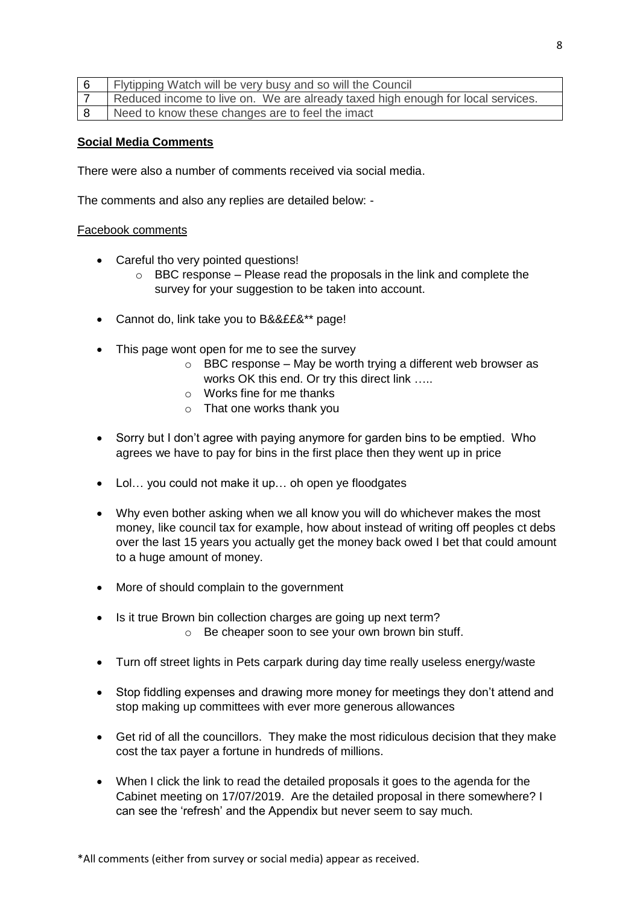| Flytipping Watch will be very busy and so will the Council                      |
|---------------------------------------------------------------------------------|
| Reduced income to live on. We are already taxed high enough for local services. |
| Need to know these changes are to feel the imact                                |

### **Social Media Comments**

There were also a number of comments received via social media.

The comments and also any replies are detailed below: -

#### Facebook comments

- Careful tho very pointed questions!
	- $\circ$  BBC response Please read the proposals in the link and complete the survey for your suggestion to be taken into account.
- Cannot do, link take you to B&&££&\*\* page!
- This page wont open for me to see the survey
	- $\circ$  BBC response May be worth trying a different web browser as works OK this end. Or try this direct link …..
	- o Works fine for me thanks
	- o That one works thank you
- Sorry but I don't agree with paying anymore for garden bins to be emptied. Who agrees we have to pay for bins in the first place then they went up in price
- Lol... you could not make it up... oh open ye floodgates
- Why even bother asking when we all know you will do whichever makes the most money, like council tax for example, how about instead of writing off peoples ct debs over the last 15 years you actually get the money back owed I bet that could amount to a huge amount of money.
- More of should complain to the government
- Is it true Brown bin collection charges are going up next term?
	- o Be cheaper soon to see your own brown bin stuff.
- Turn off street lights in Pets carpark during day time really useless energy/waste
- Stop fiddling expenses and drawing more money for meetings they don't attend and stop making up committees with ever more generous allowances
- Get rid of all the councillors. They make the most ridiculous decision that they make cost the tax payer a fortune in hundreds of millions.
- When I click the link to read the detailed proposals it goes to the agenda for the Cabinet meeting on 17/07/2019. Are the detailed proposal in there somewhere? I can see the 'refresh' and the Appendix but never seem to say much.